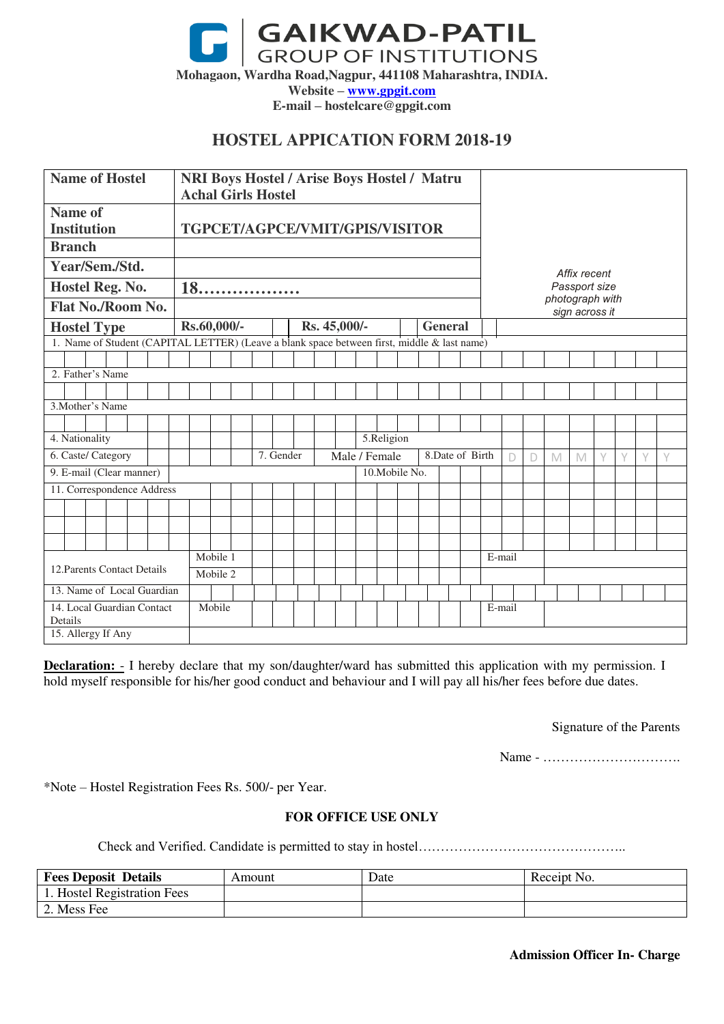**GAIKWAD-PATIL**<br>GROUP OF INSTITUTIONS **Mohagaon, Wardha Road,Nagpur, 441108 Maharashtra, INDIA. Website – [www.gpgit.com](http://www.gpgit.com/) E-mail – hostelcare@gpgit.com** 

# **HOSTEL APPICATION FORM 2018-19**

| <b>Name of Hostel</b>                |                  |  |  |  | <b>NRI Boys Hostel / Arise Boys Hostel / Matru</b><br><b>Achal Girls Hostel</b>             |        |  |  |           |                                  |              |  |                |  |                                   |                |        |        |   |        |        |        |   |   |  |  |  |  |  |
|--------------------------------------|------------------|--|--|--|---------------------------------------------------------------------------------------------|--------|--|--|-----------|----------------------------------|--------------|--|----------------|--|-----------------------------------|----------------|--------|--------|---|--------|--------|--------|---|---|--|--|--|--|--|
| <b>Name of</b><br><b>Institution</b> |                  |  |  |  | TGPCET/AGPCE/VMIT/GPIS/VISITOR                                                              |        |  |  |           |                                  |              |  |                |  |                                   |                |        |        |   |        |        |        |   |   |  |  |  |  |  |
| <b>Branch</b>                        |                  |  |  |  |                                                                                             |        |  |  |           |                                  |              |  |                |  |                                   |                |        |        |   |        |        |        |   |   |  |  |  |  |  |
| Year/Sem./Std.                       |                  |  |  |  |                                                                                             |        |  |  |           |                                  |              |  |                |  | Affix recent<br>Passport size     |                |        |        |   |        |        |        |   |   |  |  |  |  |  |
| Hostel Reg. No.                      |                  |  |  |  | 18.                                                                                         |        |  |  |           |                                  |              |  |                |  |                                   |                |        |        |   |        |        |        |   |   |  |  |  |  |  |
| Flat No./Room No.                    |                  |  |  |  |                                                                                             |        |  |  |           |                                  |              |  |                |  | photograph with<br>sign across it |                |        |        |   |        |        |        |   |   |  |  |  |  |  |
| <b>Hostel Type</b>                   |                  |  |  |  | Rs.60,000/-                                                                                 |        |  |  |           |                                  | Rs. 45,000/- |  |                |  |                                   | <b>General</b> |        |        |   |        |        |        |   |   |  |  |  |  |  |
|                                      |                  |  |  |  | 1. Name of Student (CAPITAL LETTER) (Leave a blank space between first, middle & last name) |        |  |  |           |                                  |              |  |                |  |                                   |                |        |        |   |        |        |        |   |   |  |  |  |  |  |
|                                      |                  |  |  |  |                                                                                             |        |  |  |           |                                  |              |  |                |  |                                   |                |        |        |   |        |        |        |   |   |  |  |  |  |  |
|                                      | 2. Father's Name |  |  |  |                                                                                             |        |  |  |           |                                  |              |  |                |  |                                   |                |        |        |   |        |        |        |   |   |  |  |  |  |  |
|                                      |                  |  |  |  |                                                                                             |        |  |  |           |                                  |              |  |                |  |                                   |                |        |        |   |        |        |        |   |   |  |  |  |  |  |
| 3. Mother's Name                     |                  |  |  |  |                                                                                             |        |  |  |           |                                  |              |  |                |  |                                   |                |        |        |   |        |        |        |   |   |  |  |  |  |  |
|                                      |                  |  |  |  |                                                                                             |        |  |  |           |                                  |              |  |                |  |                                   |                |        |        |   |        |        |        |   |   |  |  |  |  |  |
| 4. Nationality                       |                  |  |  |  |                                                                                             |        |  |  |           |                                  | 5.Religion   |  |                |  |                                   |                |        |        |   |        |        |        |   |   |  |  |  |  |  |
| 6. Caste/ Category                   |                  |  |  |  |                                                                                             |        |  |  | 7. Gender | Male / Female<br>8.Date of Birth |              |  |                |  |                                   |                | $\Box$ | $\Box$ | M | M      | $\vee$ | $\vee$ | Y | Y |  |  |  |  |  |
| 9. E-mail (Clear manner)             |                  |  |  |  |                                                                                             |        |  |  |           |                                  |              |  | 10. Mobile No. |  |                                   |                |        |        |   |        |        |        |   |   |  |  |  |  |  |
| 11. Correspondence Address           |                  |  |  |  |                                                                                             |        |  |  |           |                                  |              |  |                |  |                                   |                |        |        |   |        |        |        |   |   |  |  |  |  |  |
|                                      |                  |  |  |  |                                                                                             |        |  |  |           |                                  |              |  |                |  |                                   |                |        |        |   |        |        |        |   |   |  |  |  |  |  |
|                                      |                  |  |  |  |                                                                                             |        |  |  |           |                                  |              |  |                |  |                                   |                |        |        |   |        |        |        |   |   |  |  |  |  |  |
|                                      |                  |  |  |  |                                                                                             |        |  |  |           |                                  |              |  |                |  |                                   |                |        |        |   |        |        |        |   |   |  |  |  |  |  |
|                                      |                  |  |  |  | Mobile 1                                                                                    |        |  |  |           |                                  |              |  |                |  |                                   |                |        |        |   | E-mail |        |        |   |   |  |  |  |  |  |
| 12. Parents Contact Details          |                  |  |  |  | Mobile 2                                                                                    |        |  |  |           |                                  |              |  |                |  |                                   |                |        |        |   |        |        |        |   |   |  |  |  |  |  |
| 13. Name of Local Guardian           |                  |  |  |  |                                                                                             |        |  |  |           |                                  |              |  |                |  |                                   |                |        |        |   |        |        |        |   |   |  |  |  |  |  |
| 14. Local Guardian Contact           |                  |  |  |  |                                                                                             | Mobile |  |  |           |                                  |              |  |                |  |                                   |                |        |        |   | E-mail |        |        |   |   |  |  |  |  |  |
| Details                              |                  |  |  |  |                                                                                             |        |  |  |           |                                  |              |  |                |  |                                   |                |        |        |   |        |        |        |   |   |  |  |  |  |  |
| 15. Allergy If Any                   |                  |  |  |  |                                                                                             |        |  |  |           |                                  |              |  |                |  |                                   |                |        |        |   |        |        |        |   |   |  |  |  |  |  |

**Declaration:** - I hereby declare that my son/daughter/ward has submitted this application with my permission. I hold myself responsible for his/her good conduct and behaviour and I will pay all his/her fees before due dates.

Signature of the Parents

Name - ………………………….

\*Note – Hostel Registration Fees Rs. 500/- per Year.

## **FOR OFFICE USE ONLY**

Check and Verified. Candidate is permitted to stay in hostel………………………………………..

| <b>Fees Deposit Details</b> | Amount | Date | Receipt No. |
|-----------------------------|--------|------|-------------|
| L. Hostel Registration Fees |        |      |             |
| 2. Mess Fee                 |        |      |             |